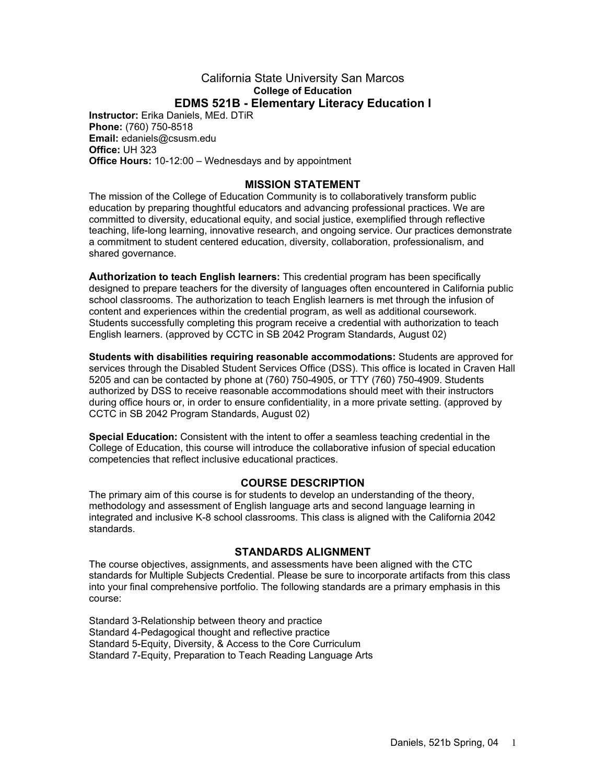#### California State University San Marcos **College of Education EDMS 521B - Elementary Literacy Education I**

**Instructor:** Erika Daniels, MEd. DTiR **Phone:** (760) 750-8518 **Email:** edaniels@csusm.edu **Office:** UH 323 **Office Hours:** 10-12:00 – Wednesdays and by appointment

### **MISSION STATEMENT**

The mission of the College of Education Community is to collaboratively transform public education by preparing thoughtful educators and advancing professional practices. We are committed to diversity, educational equity, and social justice, exemplified through reflective teaching, life-long learning, innovative research, and ongoing service. Our practices demonstrate a commitment to student centered education, diversity, collaboration, professionalism, and shared governance.

**Authorization to teach English learners:** This credential program has been specifically designed to prepare teachers for the diversity of languages often encountered in California public school classrooms. The authorization to teach English learners is met through the infusion of content and experiences within the credential program, as well as additional coursework. Students successfully completing this program receive a credential with authorization to teach English learners. (approved by CCTC in SB 2042 Program Standards, August 02)

**Students with disabilities requiring reasonable accommodations:** Students are approved for services through the Disabled Student Services Office (DSS). This office is located in Craven Hall 5205 and can be contacted by phone at (760) 750-4905, or TTY (760) 750-4909. Students authorized by DSS to receive reasonable accommodations should meet with their instructors during office hours or, in order to ensure confidentiality, in a more private setting. (approved by CCTC in SB 2042 Program Standards, August 02)

**Special Education:** Consistent with the intent to offer a seamless teaching credential in the College of Education, this course will introduce the collaborative infusion of special education competencies that reflect inclusive educational practices.

#### **COURSE DESCRIPTION**

The primary aim of this course is for students to develop an understanding of the theory, methodology and assessment of English language arts and second language learning in integrated and inclusive K-8 school classrooms. This class is aligned with the California 2042 standards.

#### **STANDARDS ALIGNMENT**

The course objectives, assignments, and assessments have been aligned with the CTC standards for Multiple Subjects Credential. Please be sure to incorporate artifacts from this class into your final comprehensive portfolio. The following standards are a primary emphasis in this course:

Standard 3-Relationship between theory and practice Standard 4-Pedagogical thought and reflective practice Standard 5-Equity, Diversity, & Access to the Core Curriculum Standard 7-Equity, Preparation to Teach Reading Language Arts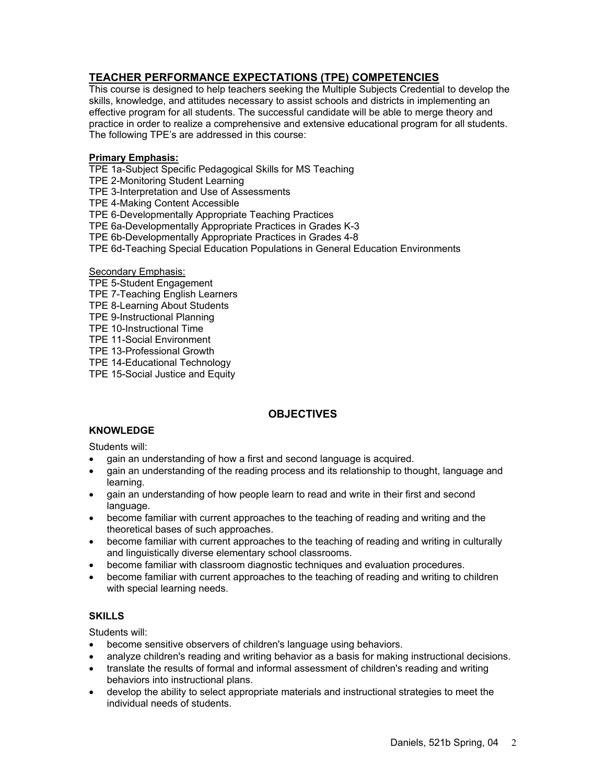# **TEACHER PERFORMANCE EXPECTATIONS (TPE) COMPETENCIES**

This course is designed to help teachers seeking the Multiple Subjects Credential to develop the skills, knowledge, and attitudes necessary to assist schools and districts in implementing an effective program for all students. The successful candidate will be able to merge theory and practice in order to realize a comprehensive and extensive educational program for all students. The following TPE's are addressed in this course:

#### **Primary Emphasis:**

TPE 1a-Subject Specific Pedagogical Skills for MS Teaching

TPE 2-Monitoring Student Learning

TPE 3-Interpretation and Use of Assessments

TPE 4-Making Content Accessible

TPE 6-Developmentally Appropriate Teaching Practices

TPE 6a-Developmentally Appropriate Practices in Grades K-3

TPE 6b-Developmentally Appropriate Practices in Grades 4-8

TPE 6d-Teaching Special Education Populations in General Education Environments

#### Secondary Emphasis:

- TPE 5-Student Engagement
- TPE 7-Teaching English Learners
- TPE 8-Learning About Students
- TPE 9-Instructional Planning
- TPE 10-Instructional Time
- TPE 11-Social Environment
- TPE 13-Professional Growth

TPE 14-Educational Technology

TPE 15-Social Justice and Equity

# **OBJECTIVES**

# **KNOWLEDGE**

#### Students will:

- gain an understanding of how a first and second language is acquired.
- gain an understanding of the reading process and its relationship to thought, language and learning.
- gain an understanding of how people learn to read and write in their first and second language.
- become familiar with current approaches to the teaching of reading and writing and the theoretical bases of such approaches.
- become familiar with current approaches to the teaching of reading and writing in culturally and linguistically diverse elementary school classrooms.
- become familiar with classroom diagnostic techniques and evaluation procedures.
- become familiar with current approaches to the teaching of reading and writing to children with special learning needs.

## **SKILLS**

Students will:

- become sensitive observers of children's language using behaviors.
- analyze children's reading and writing behavior as a basis for making instructional decisions.
- translate the results of formal and informal assessment of children's reading and writing behaviors into instructional plans.
- develop the ability to select appropriate materials and instructional strategies to meet the individual needs of students.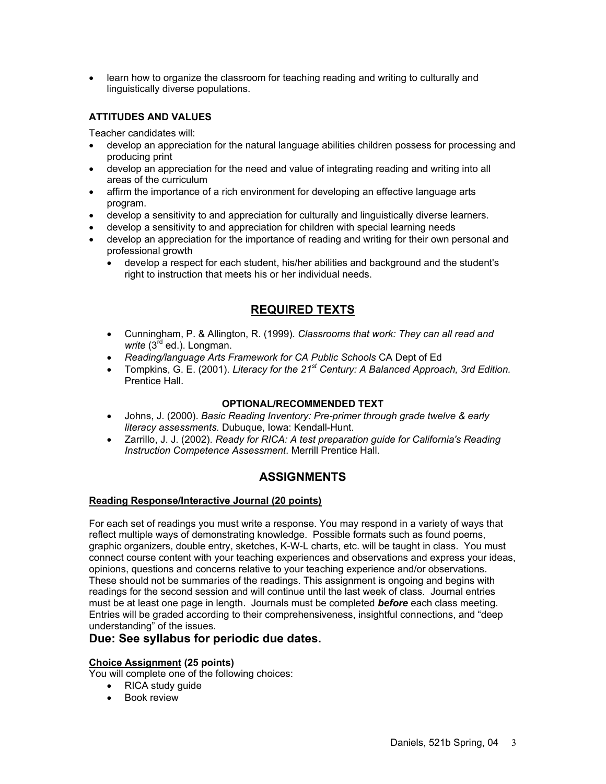• learn how to organize the classroom for teaching reading and writing to culturally and linguistically diverse populations.

## **ATTITUDES AND VALUES**

Teacher candidates will:

- develop an appreciation for the natural language abilities children possess for processing and producing print
- develop an appreciation for the need and value of integrating reading and writing into all areas of the curriculum
- affirm the importance of a rich environment for developing an effective language arts program.
- develop a sensitivity to and appreciation for culturally and linguistically diverse learners.
- develop a sensitivity to and appreciation for children with special learning needs
- develop an appreciation for the importance of reading and writing for their own personal and professional growth
	- develop a respect for each student, his/her abilities and background and the student's right to instruction that meets his or her individual needs.

# **REQUIRED TEXTS**

- Cunningham, P. & Allington, R. (1999). *Classrooms that work: They can all read and*  write (3<sup>rd</sup> ed.). Longman.
- *Reading/language Arts Framework for CA Public Schools* CA Dept of Ed
- Tompkins, G. E. (2001). *Literacy for the 21st Century: A Balanced Approach, 3rd Edition.* Prentice Hall.

#### **OPTIONAL/RECOMMENDED TEXT**

- Johns, J. (2000). *Basic Reading Inventory: Pre-primer through grade twelve & early literacy assessments.* Dubuque, Iowa: Kendall-Hunt.
- Zarrillo, J. J. (2002). *Ready for RICA: A test preparation guide for California's Reading Instruction Competence Assessment*. Merrill Prentice Hall.

## **ASSIGNMENTS**

#### **Reading Response/Interactive Journal (20 points)**

For each set of readings you must write a response. You may respond in a variety of ways that reflect multiple ways of demonstrating knowledge. Possible formats such as found poems, graphic organizers, double entry, sketches, K-W-L charts, etc. will be taught in class. You must connect course content with your teaching experiences and observations and express your ideas, opinions, questions and concerns relative to your teaching experience and/or observations. These should not be summaries of the readings. This assignment is ongoing and begins with readings for the second session and will continue until the last week of class. Journal entries must be at least one page in length. Journals must be completed *before* each class meeting. Entries will be graded according to their comprehensiveness, insightful connections, and "deep understanding" of the issues.

## **Due: See syllabus for periodic due dates.**

#### **Choice Assignment (25 points)**

You will complete one of the following choices:

- RICA study guide
- Book review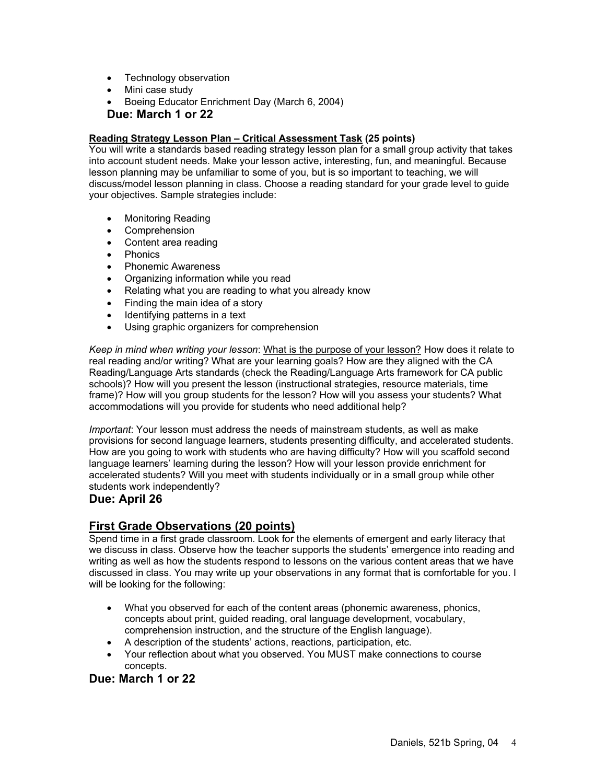- Technology observation
- Mini case study
- Boeing Educator Enrichment Day (March 6, 2004)

#### **Due: March 1 or 22**

#### **Reading Strategy Lesson Plan – Critical Assessment Task (25 points)**

You will write a standards based reading strategy lesson plan for a small group activity that takes into account student needs. Make your lesson active, interesting, fun, and meaningful. Because lesson planning may be unfamiliar to some of you, but is so important to teaching, we will discuss/model lesson planning in class. Choose a reading standard for your grade level to guide your objectives. Sample strategies include:

- Monitoring Reading
- Comprehension
- Content area reading
- Phonics
- Phonemic Awareness
- Organizing information while you read
- Relating what you are reading to what you already know
- Finding the main idea of a story
- Identifying patterns in a text
- Using graphic organizers for comprehension

*Keep in mind when writing your lesson*: What is the purpose of your lesson? How does it relate to real reading and/or writing? What are your learning goals? How are they aligned with the CA Reading/Language Arts standards (check the Reading/Language Arts framework for CA public schools)? How will you present the lesson (instructional strategies, resource materials, time frame)? How will you group students for the lesson? How will you assess your students? What accommodations will you provide for students who need additional help?

*Important*: Your lesson must address the needs of mainstream students, as well as make provisions for second language learners, students presenting difficulty, and accelerated students. How are you going to work with students who are having difficulty? How will you scaffold second language learners' learning during the lesson? How will your lesson provide enrichment for accelerated students? Will you meet with students individually or in a small group while other students work independently?

#### **Due: April 26**

## **First Grade Observations (20 points)**

Spend time in a first grade classroom. Look for the elements of emergent and early literacy that we discuss in class. Observe how the teacher supports the students' emergence into reading and writing as well as how the students respond to lessons on the various content areas that we have discussed in class. You may write up your observations in any format that is comfortable for you. I will be looking for the following:

- What you observed for each of the content areas (phonemic awareness, phonics, concepts about print, guided reading, oral language development, vocabulary, comprehension instruction, and the structure of the English language).
- A description of the students' actions, reactions, participation, etc.
- Your reflection about what you observed. You MUST make connections to course concepts.

## **Due: March 1 or 22**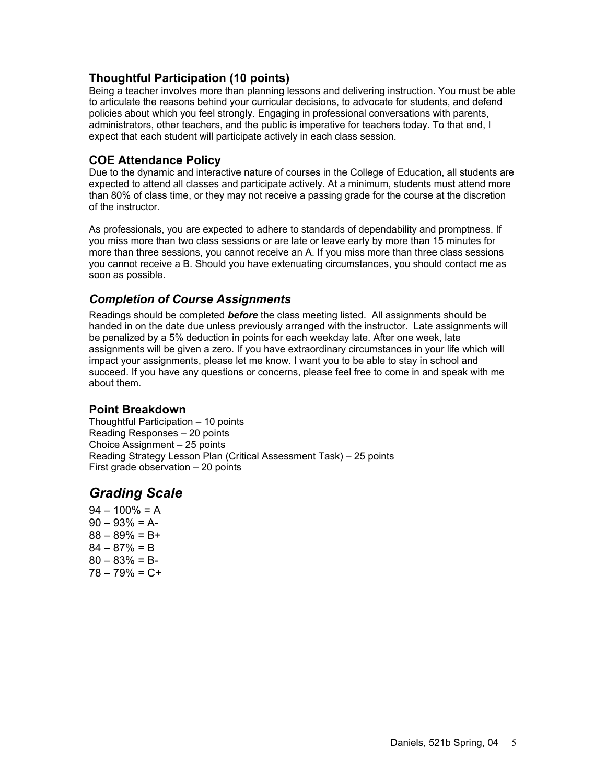# **Thoughtful Participation (10 points)**

Being a teacher involves more than planning lessons and delivering instruction. You must be able to articulate the reasons behind your curricular decisions, to advocate for students, and defend policies about which you feel strongly. Engaging in professional conversations with parents, administrators, other teachers, and the public is imperative for teachers today. To that end, I expect that each student will participate actively in each class session.

# **COE Attendance Policy**

Due to the dynamic and interactive nature of courses in the College of Education, all students are expected to attend all classes and participate actively. At a minimum, students must attend more than 80% of class time, or they may not receive a passing grade for the course at the discretion of the instructor.

As professionals, you are expected to adhere to standards of dependability and promptness. If you miss more than two class sessions or are late or leave early by more than 15 minutes for more than three sessions, you cannot receive an A. If you miss more than three class sessions you cannot receive a B. Should you have extenuating circumstances, you should contact me as soon as possible.

# *Completion of Course Assignments*

Readings should be completed *before* the class meeting listed. All assignments should be handed in on the date due unless previously arranged with the instructor. Late assignments will be penalized by a 5% deduction in points for each weekday late. After one week, late assignments will be given a zero. If you have extraordinary circumstances in your life which will impact your assignments, please let me know. I want you to be able to stay in school and succeed. If you have any questions or concerns, please feel free to come in and speak with me about them.

## **Point Breakdown**

Thoughtful Participation – 10 points Reading Responses – 20 points Choice Assignment – 25 points Reading Strategy Lesson Plan (Critical Assessment Task) – 25 points First grade observation – 20 points

# *Grading Scale*

 $94 - 100\% = A$  $90 - 93\% = A$  $88 - 89\% = B +$  $84 - 87\% = B$  $80 - 83\% = B$ 78 – 79% = C+